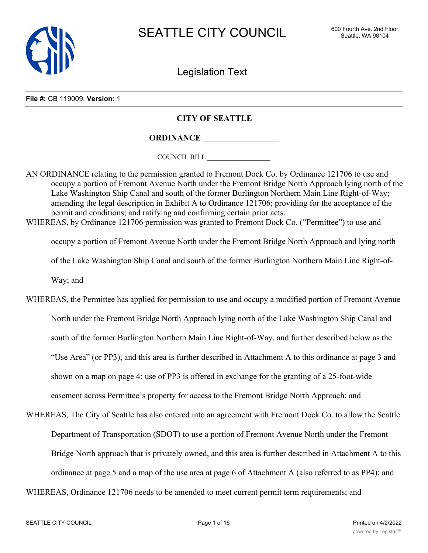

Legislation Text

**File #:** CB 119009, **Version:** 1

## **CITY OF SEATTLE**

**ORDINANCE \_\_\_\_\_\_\_\_\_\_\_\_\_\_\_\_\_\_**

COUNCIL BILL \_\_\_\_\_\_\_\_\_\_\_\_\_\_\_\_\_\_

AN ORDINANCE relating to the permission granted to Fremont Dock Co. by Ordinance 121706 to use and occupy a portion of Fremont Avenue North under the Fremont Bridge North Approach lying north of the Lake Washington Ship Canal and south of the former Burlington Northern Main Line Right-of-Way; amending the legal description in Exhibit A to Ordinance 121706; providing for the acceptance of the permit and conditions; and ratifying and confirming certain prior acts. WHEREAS, by Ordinance 121706 permission was granted to Fremont Dock Co. ("Permittee") to use and

occupy a portion of Fremont Avenue North under the Fremont Bridge North Approach and lying north of the Lake Washington Ship Canal and south of the former Burlington Northern Main Line Right-of-Way; and

WHEREAS, the Permittee has applied for permission to use and occupy a modified portion of Fremont Avenue North under the Fremont Bridge North Approach lying north of the Lake Washington Ship Canal and south of the former Burlington Northern Main Line Right-of-Way, and further described below as the "Use Area" (or PP3), and this area is further described in Attachment A to this ordinance at page 3 and shown on a map on page 4; use of PP3 is offered in exchange for the granting of a 25-foot-wide easement across Permittee's property for access to the Fremont Bridge North Approach; and

WHEREAS, The City of Seattle has also entered into an agreement with Fremont Dock Co. to allow the Seattle Department of Transportation (SDOT) to use a portion of Fremont Avenue North under the Fremont Bridge North approach that is privately owned, and this area is further described in Attachment A to this ordinance at page 5 and a map of the use area at page 6 of Attachment A (also referred to as PP4); and

WHEREAS, Ordinance 121706 needs to be amended to meet current permit term requirements; and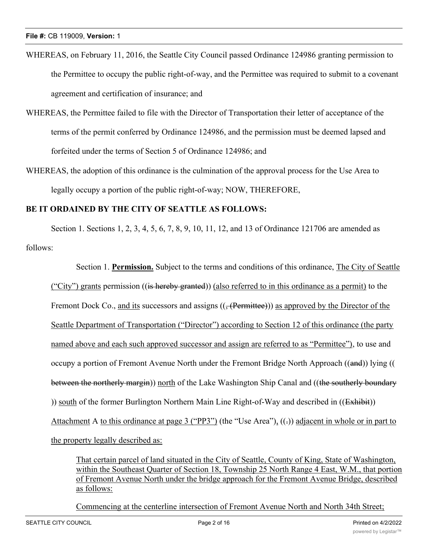- WHEREAS, on February 11, 2016, the Seattle City Council passed Ordinance 124986 granting permission to the Permittee to occupy the public right-of-way, and the Permittee was required to submit to a covenant agreement and certification of insurance; and
- WHEREAS, the Permittee failed to file with the Director of Transportation their letter of acceptance of the terms of the permit conferred by Ordinance 124986, and the permission must be deemed lapsed and forfeited under the terms of Section 5 of Ordinance 124986; and
- WHEREAS, the adoption of this ordinance is the culmination of the approval process for the Use Area to legally occupy a portion of the public right-of-way; NOW, THEREFORE,

# **BE IT ORDAINED BY THE CITY OF SEATTLE AS FOLLOWS:**

Section 1. Sections 1, 2, 3, 4, 5, 6, 7, 8, 9, 10, 11, 12, and 13 of Ordinance 121706 are amended as follows:

Section 1. **Permission.** Subject to the terms and conditions of this ordinance, The City of Seattle ("City") grants permission ((is hereby granted)) (also referred to in this ordinance as a permit) to the Fremont Dock Co., and its successors and assigns  $((, (Permitted)))$  as approved by the Director of the Seattle Department of Transportation ("Director") according to Section 12 of this ordinance (the party named above and each such approved successor and assign are referred to as "Permittee"), to use and occupy a portion of Fremont Avenue North under the Fremont Bridge North Approach ((and)) lying (( between the northerly margin)) north of the Lake Washington Ship Canal and ((the southerly boundary )) south of the former Burlington Northern Main Line Right-of-Way and described in ((Exhibit)) Attachment A to this ordinance at page 3 ("PP3") (the "Use Area"),  $((.)$  adjacent in whole or in part to the property legally described as:

That certain parcel of land situated in the City of Seattle, County of King, State of Washington, within the Southeast Quarter of Section 18, Township 25 North Range 4 East, W.M., that portion of Fremont Avenue North under the bridge approach for the Fremont Avenue Bridge, described as follows:

Commencing at the centerline intersection of Fremont Avenue North and North 34th Street;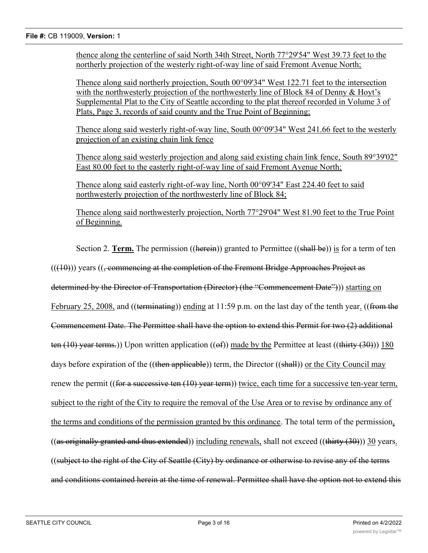#### **File #:** CB 119009, **Version:** 1

thence along the centerline of said North 34th Street, North 77°29'54" West 39.73 feet to the northerly projection of the westerly right-of-way line of said Fremont Avenue North;

Thence along said northerly projection, South 00°09'34" West 122.71 feet to the intersection with the northwesterly projection of the northwesterly line of Block 84 of Denny & Hoyt's Supplemental Plat to the City of Seattle according to the plat thereof recorded in Volume 3 of Plats, Page 3, records of said county and the True Point of Beginning;

Thence along said westerly right-of-way line, South 00°09'34" West 241.66 feet to the westerly projection of an existing chain link fence

Thence along said westerly projection and along said existing chain link fence, South 89°39'02" East 80.00 feet to the easterly right-of-way line of said Fremont Avenue North;

Thence along said easterly right-of-way line, North 00°09'34" East 224.40 feet to said northwesterly projection of the northwesterly line of Block 84;

Thence along said northwesterly projection, North 77°29'04" West 81.90 feet to the True Point of Beginning.

Section 2. **Term.** The permission ((herein)) granted to Permittee ((shall be)) is for a term of ten  $((10))$  years  $((, \text{commencing at the completion of the French Bridge Approaches Project as$ determined by the Director of Transportation (Director) (the "Commencement Date"))) starting on February 25, 2008, and ((terminating)) ending at 11:59 p.m. on the last day of the tenth year. ((from the Commencement Date. The Permittee shall have the option to extend this Permit for two (2) additional ten (10) year terms.)) Upon written application (( $\Theta$ f)) made by the Permittee at least ((thirty (30))) 180 days before expiration of the ((then applicable)) term, the Director ((shall)) or the City Council may renew the permit ((for a successive ten  $(10)$  year term)) twice, each time for a successive ten-year term, subject to the right of the City to require the removal of the Use Area or to revise by ordinance any of the terms and conditions of the permission granted by this ordinance. The total term of the permission, ((as originally granted and thus extended)) including renewals, shall not exceed ((thirty  $(30)$ )) 30 years. ((subject to the right of the City of Seattle (City) by ordinance or otherwise to revise any of the terms and conditions contained herein at the time of renewal. Permittee shall have the option not to extend this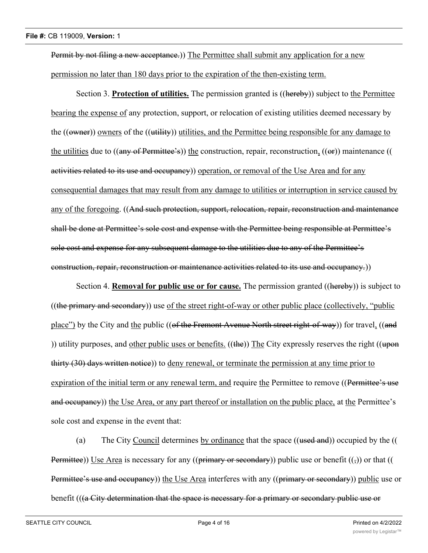Permit by not filing a new acceptance.)) The Permittee shall submit any application for a new permission no later than 180 days prior to the expiration of the then-existing term.

Section 3. **Protection of utilities.** The permission granted is ((hereby)) subject to the Permittee bearing the expense of any protection, support, or relocation of existing utilities deemed necessary by the (( $\overrightarrow{(\text{swner})}$ ) owners of the (( $\overrightarrow{utility}$ )) utilities, and the Permittee being responsible for any damage to the utilities due to  $((a<sub>ny</sub> of Permittee's))$  the construction, repair, reconstruction,  $((or))$  maintenance (( activities related to its use and occupancy) operation, or removal of the Use Area and for any consequential damages that may result from any damage to utilities or interruption in service caused by any of the foregoing. ((And such protection, support, relocation, repair, reconstruction and maintenance shall be done at Permittee's sole cost and expense with the Permittee being responsible at Permittee's sole cost and expense for any subsequent damage to the utilities due to any of the Permittee's construction, repair, reconstruction or maintenance activities related to its use and occupancy.))

Section 4. **Removal for public use or for cause.** The permission granted ((hereby)) is subject to  $((the primary and secondary))$  use of the street right-of-way or other public place (collectively, "public place") by the City and the public ((of the Fremont Avenue North street right-of-way)) for travel, ((and )) utility purposes, and other public uses or benefits.  $((the))$  The City expressly reserves the right  $((upon)$ thirty (30) days written notice)) to deny renewal, or terminate the permission at any time prior to expiration of the initial term or any renewal term, and require the Permittee to remove ((Permittee's use and occupancy)) the Use Area, or any part thereof or installation on the public place, at the Permittee's sole cost and expense in the event that:

(a) The City Council determines by ordinance that the space ((used and)) occupied by the (( Permittee)) Use Area is necessary for any ((primary or secondary)) public use or benefit  $((\tau))$  or that (( Permittee's use and occupancy)) the Use Area interferes with any ((primary or secondary)) public use or benefit (((a City determination that the space is necessary for a primary or secondary public use or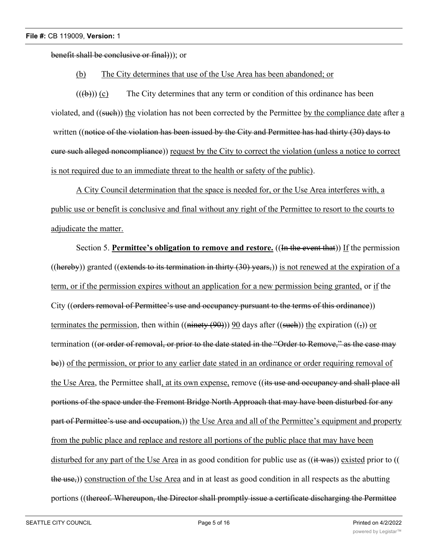benefit shall be conclusive or final))); or

### (b) The City determines that use of the Use Area has been abandoned; or

 $((\forall \theta))$  (c) The City determines that any term or condition of this ordinance has been violated, and ((such)) the violation has not been corrected by the Permittee by the compliance date after a written ((notice of the violation has been issued by the City and Permittee has had thirty (30) days to cure such alleged noncompliance)) request by the City to correct the violation (unless a notice to correct is not required due to an immediate threat to the health or safety of the public).

A City Council determination that the space is needed for, or the Use Area interferes with, a public use or benefit is conclusive and final without any right of the Permittee to resort to the courts to adjudicate the matter.

Section 5. **Permittee's obligation to remove and restore.** ((In the event that)) If the permission ((hereby)) granted ((extends to its termination in thirty  $(30)$  years,)) is not renewed at the expiration of a term, or if the permission expires without an application for a new permission being granted, or if the City ((orders removal of Permittee's use and occupancy pursuant to the terms of this ordinance)) terminates the permission, then within ((ninety  $(90)$ )) 90 days after ((such)) the expiration (( $\epsilon$ )) or termination ((or order of removal, or prior to the date stated in the "Order to Remove," as the case may be)) of the permission, or prior to any earlier date stated in an ordinance or order requiring removal of the Use Area, the Permittee shall, at its own expense, remove ((its use and occupancy and shall place all portions of the space under the Fremont Bridge North Approach that may have been disturbed for any part of Permittee's use and occupation,)) the Use Area and all of the Permittee's equipment and property from the public place and replace and restore all portions of the public place that may have been disturbed for any part of the Use Area in as good condition for public use as ((it was)) existed prior to (( the use,)) construction of the Use Area and in at least as good condition in all respects as the abutting portions ((thereof. Whereupon, the Director shall promptly issue a certificate discharging the Permittee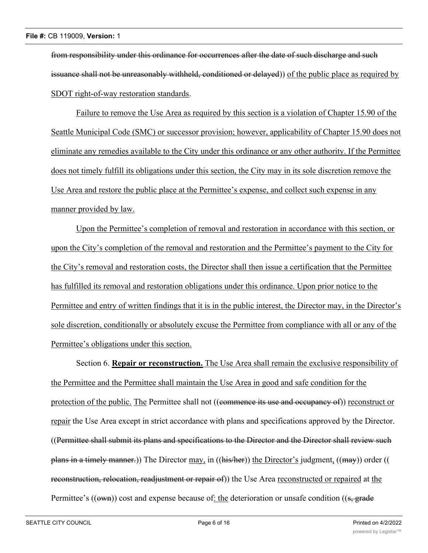from responsibility under this ordinance for occurrences after the date of such discharge and such issuance shall not be unreasonably withheld, conditioned or delayed)) of the public place as required by SDOT right-of-way restoration standards.

Failure to remove the Use Area as required by this section is a violation of Chapter 15.90 of the Seattle Municipal Code (SMC) or successor provision; however, applicability of Chapter 15.90 does not eliminate any remedies available to the City under this ordinance or any other authority. If the Permittee does not timely fulfill its obligations under this section, the City may in its sole discretion remove the Use Area and restore the public place at the Permittee's expense, and collect such expense in any manner provided by law.

Upon the Permittee's completion of removal and restoration in accordance with this section, or upon the City's completion of the removal and restoration and the Permittee's payment to the City for the City's removal and restoration costs, the Director shall then issue a certification that the Permittee has fulfilled its removal and restoration obligations under this ordinance. Upon prior notice to the Permittee and entry of written findings that it is in the public interest, the Director may, in the Director's sole discretion, conditionally or absolutely excuse the Permittee from compliance with all or any of the Permittee's obligations under this section.

Section 6. **Repair or reconstruction.** The Use Area shall remain the exclusive responsibility of the Permittee and the Permittee shall maintain the Use Area in good and safe condition for the protection of the public. The Permittee shall not ((commence its use and occupancy of)) reconstruct or repair the Use Area except in strict accordance with plans and specifications approved by the Director. ((Permittee shall submit its plans and specifications to the Director and the Director shall review such plans in a timely manner.)) The Director may, in ((his/her)) the Director's judgment, ((may)) order (( reconstruction, relocation, readjustment or repair of)) the Use Area reconstructed or repaired at the Permittee's (( $\overrightarrow{own}$ )) cost and expense because of: the deterioration or unsafe condition (( $\overrightarrow{s}$ , grade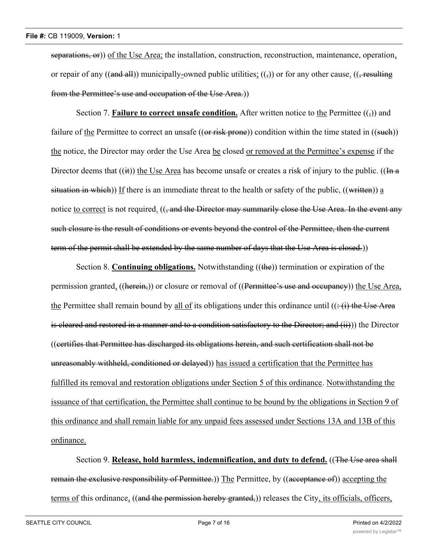separations, or)) of the Use Area; the installation, construction, reconstruction, maintenance, operation, or repair of any ((and all)) municipally-owned public utilities;  $(\cdot, \cdot)$  or for any other cause. (( $\cdot$  resulting from the Permittee's use and occupation of the Use Area.))

Section 7. **Failure to correct unsafe condition.** After written notice to the Permittee  $(\frac{1}{2})$  and failure of the Permittee to correct an unsafe  $((or risk *prone*))$  condition within the time stated in  $((such)$ ) the notice, the Director may order the Use Area be closed or removed at the Permittee's expense if the Director deems that  $((ii))$  the Use Area has become unsafe or creates a risk of injury to the public.  $((In a)$ situation in which)) If there is an immediate threat to the health or safety of the public,  $((\text{written})$  a notice to correct is not required. ((, and the Director may summarily close the Use Area. In the event any such closure is the result of conditions or events beyond the control of the Permittee, then the current term of the permit shall be extended by the same number of days that the Use Area is closed.))

Section 8. **Continuing obligations.** Notwithstanding ((the)) termination or expiration of the permission granted, ((herein,)) or closure or removal of ((Permittee's use and occupancy)) the Use Area, the Permittee shall remain bound by all of its obligations under this ordinance until  $((\div\mathbf{f})$  the Use Area is cleared and restored in a manner and to a condition satisfactory to the Director; and (ii))) the Director ((certifies that Permittee has discharged its obligations herein, and such certification shall not be unreasonably withheld, conditioned or delayed)) has issued a certification that the Permittee has fulfilled its removal and restoration obligations under Section 5 of this ordinance. Notwithstanding the issuance of that certification, the Permittee shall continue to be bound by the obligations in Section 9 of this ordinance and shall remain liable for any unpaid fees assessed under Sections 13A and 13B of this ordinance.

Section 9. **Release, hold harmless, indemnification, and duty to defend.** ((The Use area shall remain the exclusive responsibility of Permittee.)) The Permittee, by ((acceptance of)) accepting the terms of this ordinance, ((and the permission hereby granted,)) releases the City, its officials, officers,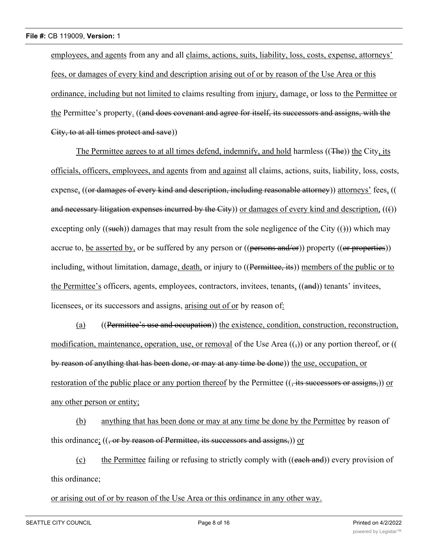employees, and agents from any and all claims, actions, suits, liability, loss, costs, expense, attorneys' fees, or damages of every kind and description arising out of or by reason of the Use Area or this ordinance, including but not limited to claims resulting from injury, damage, or loss to the Permittee or the Permittee's property. ((and does covenant and agree for itself, its successors and assigns, with the City, to at all times protect and save))

The Permittee agrees to at all times defend, indemnify, and hold harmless ((The)) the City, its officials, officers, employees, and agents from and against all claims, actions, suits, liability, loss, costs, expense, ((or damages of every kind and description, including reasonable attorney)) attorneys' fees, (( and necessary litigation expenses incurred by the City) or damages of every kind and description,  $((f))$ excepting only ((such)) damages that may result from the sole negligence of the City (())) which may accrue to, be asserted by, or be suffered by any person or  $((\rho_{\text{ersons and/or}}))$  property  $((\rho_{\text{r}+})\text{performs})$ including, without limitation, damage, death, or injury to ((Permittee, its)) members of the public or to the Permittee's officers, agents, employees, contractors, invitees, tenants, ((and)) tenants' invitees, licensees, or its successors and assigns, arising out of or by reason of:

(a) ((Permittee's use and occupation)) the existence, condition, construction, reconstruction, modification, maintenance, operation, use, or removal of the Use Area  $((,))$  or any portion thereof, or (( by reason of anything that has been done, or may at any time be done)) the use, occupation, or restoration of the public place or any portion thereof by the Permittee ((, its successors or assigns,)) or any other person or entity;

(b) anything that has been done or may at any time be done by the Permittee by reason of this ordinance; ((, or by reason of Permittee, its successors and assigns,)) or

(c) the Permittee failing or refusing to strictly comply with ((each and)) every provision of this ordinance;

#### or arising out of or by reason of the Use Area or this ordinance in any other way.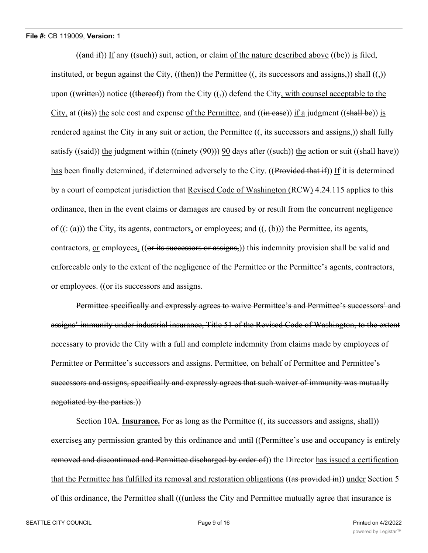$((and if))$  If any  $((such))$  suit, action, or claim of the nature described above  $((be))$  is filed, instituted, or begun against the City, ((then)) the Permittee ((, its successors and assigns,)) shall ((,)) upon ((written)) notice ((thereof)) from the City  $((\tau))$  defend the City, with counsel acceptable to the City, at ((its)) the sole cost and expense of the Permittee, and ((in case)) if a judgment ((shall be)) is rendered against the City in any suit or action, the Permittee  $((, its successors and assigns))$  shall fully satisfy ((said)) the judgment within ((ninety  $(90)$ )) 90 days after ((such)) the action or suit ((shall have)) has been finally determined, if determined adversely to the City. ((Provided that if)) If it is determined by a court of competent jurisdiction that Revised Code of Washington (RCW) 4.24.115 applies to this ordinance, then in the event claims or damages are caused by or result from the concurrent negligence of  $((\div(a)))$  the City, its agents, contractors, or employees; and  $((\div(b)))$  the Permittee, its agents, contractors, or employees, ((or its successors or assigns,)) this indemnity provision shall be valid and enforceable only to the extent of the negligence of the Permittee or the Permittee's agents, contractors, or employees. ((or its successors and assigns.

Permittee specifically and expressly agrees to waive Permittee's and Permittee's successors' and assigns' immunity under industrial insurance, Title 51 of the Revised Code of Washington, to the extent necessary to provide the City with a full and complete indemnity from claims made by employees of Permittee or Permittee's successors and assigns. Permittee, on behalf of Permittee and Permittee's successors and assigns, specifically and expressly agrees that such waiver of immunity was mutually negotiated by the parties.))

Section 10A. **Insurance.** For as long as the Permittee ((, its successors and assigns, shall)) exercises any permission granted by this ordinance and until ((Permittee's use and occupancy is entirely removed and discontinued and Permittee discharged by order of)) the Director has issued a certification that the Permittee has fulfilled its removal and restoration obligations ((as provided in)) under Section 5 of this ordinance, the Permittee shall (((unless the City and Permittee mutually agree that insurance is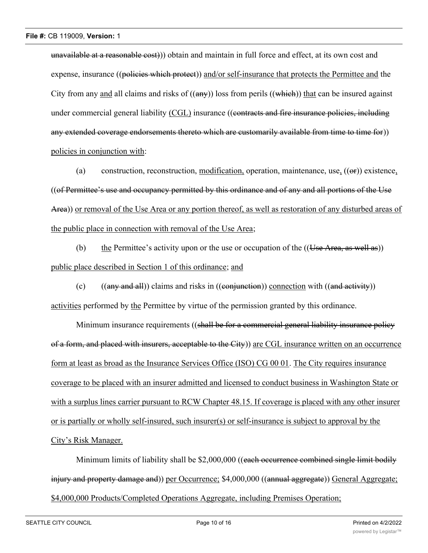unavailable at a reasonable cost))) obtain and maintain in full force and effect, at its own cost and expense, insurance ((policies which protect)) and/or self-insurance that protects the Permittee and the City from any and all claims and risks of  $((a\bar{m}y))$  loss from perils  $((\bar{w}\bar{h}\bar{e}\bar{h}))$  that can be insured against under commercial general liability (CGL) insurance ((contracts and fire insurance policies, including any extended coverage endorsements thereto which are customarily available from time to time for)) policies in conjunction with:

(a) construction, reconstruction, modification, operation, maintenance, use,  $((\Theta F))$  existence, ((of Permittee's use and occupancy permitted by this ordinance and of any and all portions of the Use Area)) or removal of the Use Area or any portion thereof, as well as restoration of any disturbed areas of the public place in connection with removal of the Use Area;

(b) the Permittee's activity upon or the use or occupation of the  $((Use Area, as well as))$ public place described in Section 1 of this ordinance; and

(c)  $((any and all))$  claims and risks in  $((conjunction))$  connection with  $((and activity))$ activities performed by the Permittee by virtue of the permission granted by this ordinance.

Minimum insurance requirements ((shall be for a commercial general liability insurance policy of a form, and placed with insurers, acceptable to the City)) are CGL insurance written on an occurrence form at least as broad as the Insurance Services Office (ISO) CG 00 01. The City requires insurance coverage to be placed with an insurer admitted and licensed to conduct business in Washington State or with a surplus lines carrier pursuant to RCW Chapter 48.15. If coverage is placed with any other insurer or is partially or wholly self-insured, such insurer(s) or self-insurance is subject to approval by the City's Risk Manager.

Minimum limits of liability shall be \$2,000,000 ((each occurrence combined single limit bodily injury and property damage and)) per Occurrence; \$4,000,000 ((annual aggregate)) General Aggregate; \$4,000,000 Products/Completed Operations Aggregate, including Premises Operation;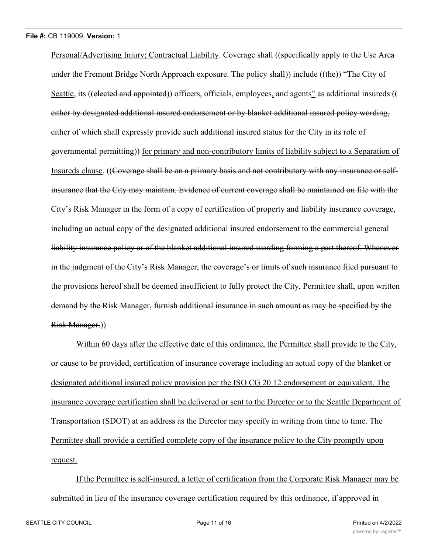Personal/Advertising Injury; Contractual Liability. Coverage shall ((specifically apply to the Use Area under the Fremont Bridge North Approach exposure. The policy shall) include ((the)) "The City of Seattle, its ((elected and appointed)) officers, officials, employees, and agents" as additional insureds (( either by designated additional insured endorsement or by blanket additional insured policy wording, either of which shall expressly provide such additional insured status for the City in its role of governmental permitting)) for primary and non-contributory limits of liability subject to a Separation of Insureds clause. ((Coverage shall be on a primary basis and not contributory with any insurance or selfinsurance that the City may maintain. Evidence of current coverage shall be maintained on file with the City's Risk Manager in the form of a copy of certification of property and liability insurance coverage, including an actual copy of the designated additional insured endorsement to the commercial general liability insurance policy or of the blanket additional insured wording forming a part thereof. Whenever in the judgment of the City's Risk Manager, the coverage's or limits of such insurance filed pursuant to the provisions hereof shall be deemed insufficient to fully protect the City, Permittee shall, upon written demand by the Risk Manager, furnish additional insurance in such amount as may be specified by the Risk Manager.))

Within 60 days after the effective date of this ordinance, the Permittee shall provide to the City, or cause to be provided, certification of insurance coverage including an actual copy of the blanket or designated additional insured policy provision per the ISO CG 20 12 endorsement or equivalent. The insurance coverage certification shall be delivered or sent to the Director or to the Seattle Department of Transportation (SDOT) at an address as the Director may specify in writing from time to time. The Permittee shall provide a certified complete copy of the insurance policy to the City promptly upon request.

If the Permittee is self-insured, a letter of certification from the Corporate Risk Manager may be submitted in lieu of the insurance coverage certification required by this ordinance, if approved in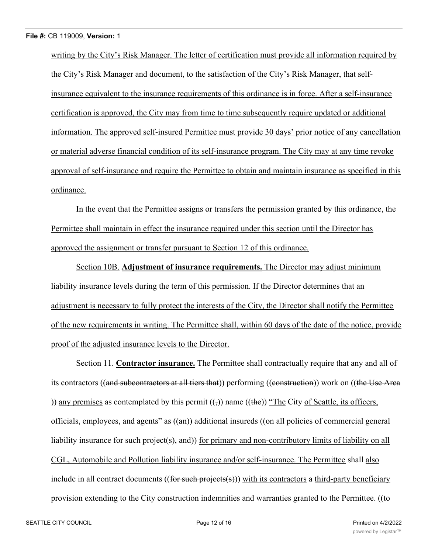writing by the City's Risk Manager. The letter of certification must provide all information required by the City's Risk Manager and document, to the satisfaction of the City's Risk Manager, that selfinsurance equivalent to the insurance requirements of this ordinance is in force. After a self-insurance certification is approved, the City may from time to time subsequently require updated or additional information. The approved self-insured Permittee must provide 30 days' prior notice of any cancellation or material adverse financial condition of its self-insurance program. The City may at any time revoke approval of self-insurance and require the Permittee to obtain and maintain insurance as specified in this ordinance.

In the event that the Permittee assigns or transfers the permission granted by this ordinance, the Permittee shall maintain in effect the insurance required under this section until the Director has approved the assignment or transfer pursuant to Section 12 of this ordinance.

Section 10B. **Adjustment of insurance requirements.** The Director may adjust minimum liability insurance levels during the term of this permission. If the Director determines that an adjustment is necessary to fully protect the interests of the City, the Director shall notify the Permittee of the new requirements in writing. The Permittee shall, within 60 days of the date of the notice, provide proof of the adjusted insurance levels to the Director.

Section 11. **Contractor insurance.** The Permittee shall contractually require that any and all of its contractors ((and subcontractors at all tiers that)) performing ((construction)) work on ((the Use Area )) any premises as contemplated by this permit  $(\frac{1}{2})$  name  $((\frac{1}{2})$  "The City of Seattle, its officers, officials, employees, and agents" as ((an)) additional insureds ((on all policies of commercial general liability insurance for such project(s), and)) for primary and non-contributory limits of liability on all CGL, Automobile and Pollution liability insurance and/or self-insurance. The Permittee shall also include in all contract documents  $((for such projects(s)))$  with its contractors a third-party beneficiary provision extending to the City construction indemnities and warranties granted to the Permittee. ((to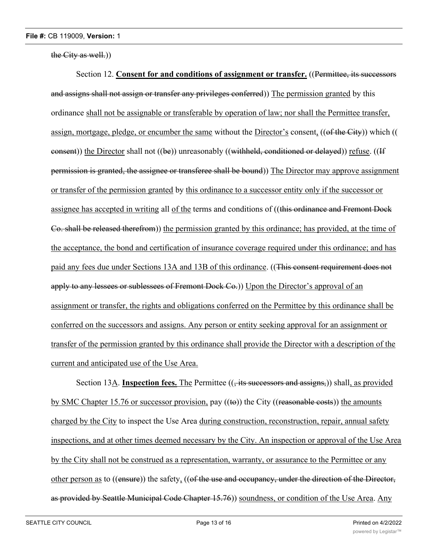the City as well.))

Section 12. **Consent for and conditions of assignment or transfer.** ((Permittee, its successors and assigns shall not assign or transfer any privileges conferred)) The permission granted by this ordinance shall not be assignable or transferable by operation of law; nor shall the Permittee transfer, assign, mortgage, pledge, or encumber the same without the Director's consent, ((of the City)) which (( consent)) the Director shall not  $((be))$  unreasonably  $((with held, conditioned or delayed))$  refuse.  $((If$ permission is granted, the assignee or transferee shall be bound)) The Director may approve assignment or transfer of the permission granted by this ordinance to a successor entity only if the successor or assignee has accepted in writing all of the terms and conditions of ((this ordinance and Fremont Dock Co. shall be released therefrom)) the permission granted by this ordinance; has provided, at the time of the acceptance, the bond and certification of insurance coverage required under this ordinance; and has paid any fees due under Sections 13A and 13B of this ordinance. ((This consent requirement does not apply to any lessees or sublessees of Fremont Dock Co.)) Upon the Director's approval of an assignment or transfer, the rights and obligations conferred on the Permittee by this ordinance shall be conferred on the successors and assigns. Any person or entity seeking approval for an assignment or transfer of the permission granted by this ordinance shall provide the Director with a description of the current and anticipated use of the Use Area.

Section 13A. **Inspection fees.** The Permittee (( $\frac{1}{1}$  its successors and assigns,)) shall, as provided by SMC Chapter 15.76 or successor provision, pay  $((\text{te}))$  the City ((reasonable costs)) the amounts charged by the City to inspect the Use Area during construction, reconstruction, repair, annual safety inspections, and at other times deemed necessary by the City. An inspection or approval of the Use Area by the City shall not be construed as a representation, warranty, or assurance to the Permittee or any other person as to ((ensure)) the safety, ((of the use and occupancy, under the direction of the Director, as provided by Seattle Municipal Code Chapter 15.76)) soundness, or condition of the Use Area. Any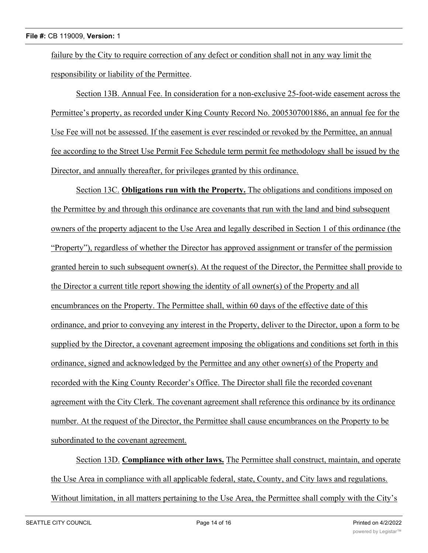failure by the City to require correction of any defect or condition shall not in any way limit the responsibility or liability of the Permittee.

Section 13B. Annual Fee. In consideration for a non-exclusive 25-foot-wide easement across the Permittee's property, as recorded under King County Record No. 2005307001886, an annual fee for the Use Fee will not be assessed. If the easement is ever rescinded or revoked by the Permittee, an annual fee according to the Street Use Permit Fee Schedule term permit fee methodology shall be issued by the Director, and annually thereafter, for privileges granted by this ordinance.

Section 13C. **Obligations run with the Property.** The obligations and conditions imposed on the Permittee by and through this ordinance are covenants that run with the land and bind subsequent owners of the property adjacent to the Use Area and legally described in Section 1 of this ordinance (the "Property"), regardless of whether the Director has approved assignment or transfer of the permission granted herein to such subsequent owner(s). At the request of the Director, the Permittee shall provide to the Director a current title report showing the identity of all owner(s) of the Property and all encumbrances on the Property. The Permittee shall, within 60 days of the effective date of this ordinance, and prior to conveying any interest in the Property, deliver to the Director, upon a form to be supplied by the Director, a covenant agreement imposing the obligations and conditions set forth in this ordinance, signed and acknowledged by the Permittee and any other owner(s) of the Property and recorded with the King County Recorder's Office. The Director shall file the recorded covenant agreement with the City Clerk. The covenant agreement shall reference this ordinance by its ordinance number. At the request of the Director, the Permittee shall cause encumbrances on the Property to be subordinated to the covenant agreement.

Section 13D. **Compliance with other laws.** The Permittee shall construct, maintain, and operate the Use Area in compliance with all applicable federal, state, County, and City laws and regulations. Without limitation, in all matters pertaining to the Use Area, the Permittee shall comply with the City's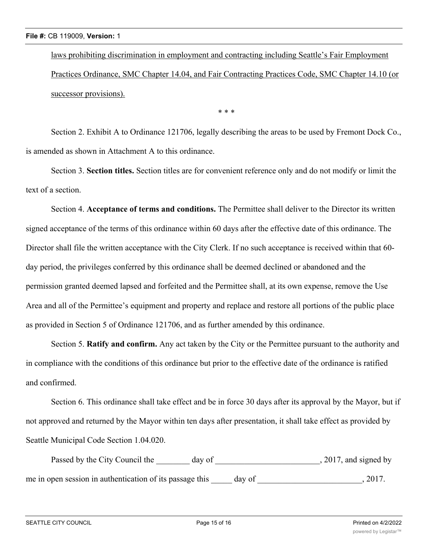laws prohibiting discrimination in employment and contracting including Seattle's Fair Employment Practices Ordinance, SMC Chapter 14.04, and Fair Contracting Practices Code, SMC Chapter 14.10 (or successor provisions).

\* \* \*

Section 2. Exhibit A to Ordinance 121706, legally describing the areas to be used by Fremont Dock Co., is amended as shown in Attachment A to this ordinance.

Section 3. **Section titles.** Section titles are for convenient reference only and do not modify or limit the text of a section.

Section 4. **Acceptance of terms and conditions.** The Permittee shall deliver to the Director its written signed acceptance of the terms of this ordinance within 60 days after the effective date of this ordinance. The Director shall file the written acceptance with the City Clerk. If no such acceptance is received within that 60 day period, the privileges conferred by this ordinance shall be deemed declined or abandoned and the permission granted deemed lapsed and forfeited and the Permittee shall, at its own expense, remove the Use Area and all of the Permittee's equipment and property and replace and restore all portions of the public place as provided in Section 5 of Ordinance 121706, and as further amended by this ordinance.

Section 5. **Ratify and confirm.** Any act taken by the City or the Permittee pursuant to the authority and in compliance with the conditions of this ordinance but prior to the effective date of the ordinance is ratified and confirmed.

Section 6. This ordinance shall take effect and be in force 30 days after its approval by the Mayor, but if not approved and returned by the Mayor within ten days after presentation, it shall take effect as provided by Seattle Municipal Code Section 1.04.020.

| Passed by the City Council the<br>day of                 | , 2017, and signed by |
|----------------------------------------------------------|-----------------------|
| me in open session in authentication of its passage this | 2017.<br>day of       |